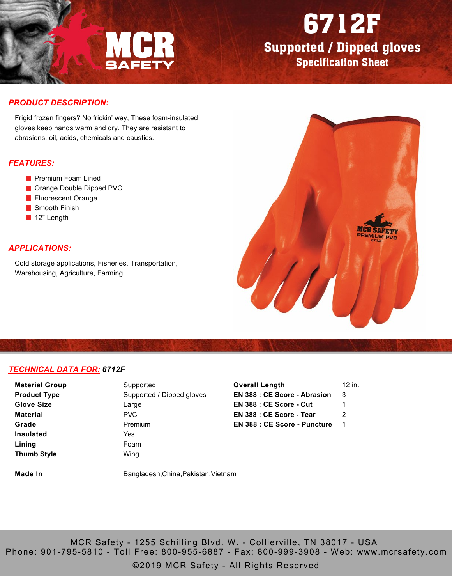

## 6712F

Supported / Dipped gloves Specification Sheet

#### *PRODUCT DESCRIPTION:*

Frigid frozen fingers? No frickin' way, These foam-insulated gloves keep hands warm and dry. They are resistant to abrasions, oil, acids, chemicals and caustics.

#### *FEATURES:*

- **Premium Foam Lined**
- Orange Double Dipped PVC
- **Fluorescent Orange**
- Smooth Finish
- 12" Length

### *APPLICATIONS:*

Cold storage applications, Fisheries, Transportation, Warehousing, Agriculture, Farming



#### *TECHNICAL DATA FOR: 6712F*

**Material Group Product Type Glove Size Material Grade Insulated Lining Thumb Style**

Supported Supported / Dipped gloves Large PVC Premium Yes Foam Wing

| Overall Length                      | 12 in. |
|-------------------------------------|--------|
| <b>EN 388 : CE Score - Abrasion</b> | 3      |
| EN 388 : CE Score - Cut             | 1      |
| EN 388 : CE Score - Tear            | 2      |
| <b>EN 388 : CE Score - Puncture</b> |        |
|                                     |        |

**Made In** Bangladesh,China,Pakistan,Vietnam

MCR Safety - 1255 Schilling Blvd. W. - Collierville, TN 38017 - USA Phone: 901-795-5810 - Toll Free: 800-955-6887 - Fax: 800-999-3908 - Web: www.mcrsafety.com

©2019 MCR Safety - All Rights Reserved